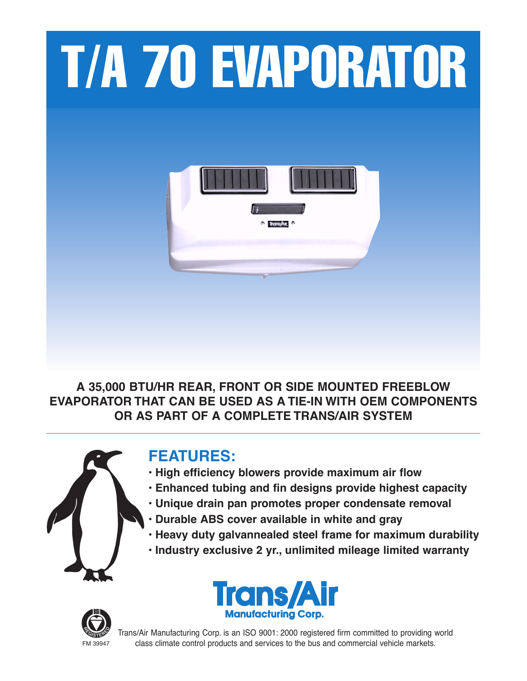

**A 35,000 BTU/HR REAR, FRONT OR SIDE MOUNTED FREEBLOW EVAPORATOR THAT CAN BE USED AS A TIE-IN WITH OEM COMPONENTS OR AS PART OF A COMPLETE TRANS/AIR SYSTEM**



# **FEATURES:**

- **• High efficiency blowers provide maximum air flow**
- **• Enhanced tubing and fin designs provide highest capacity**
- **• Unique drain pan promotes proper condensate removal**
- **• Durable ABS cover available in white and gray**
- **• Heavy duty galvannealed steel frame for maximum durability**
- **• Industry exclusive 2 yr., unlimited mileage limited warranty**





Trans/Air Manufacturing Corp. is an ISO 9001: 2000 registered firm committed to providing world FM 39947 class climate control products and services to the bus and commercial vehicle markets.